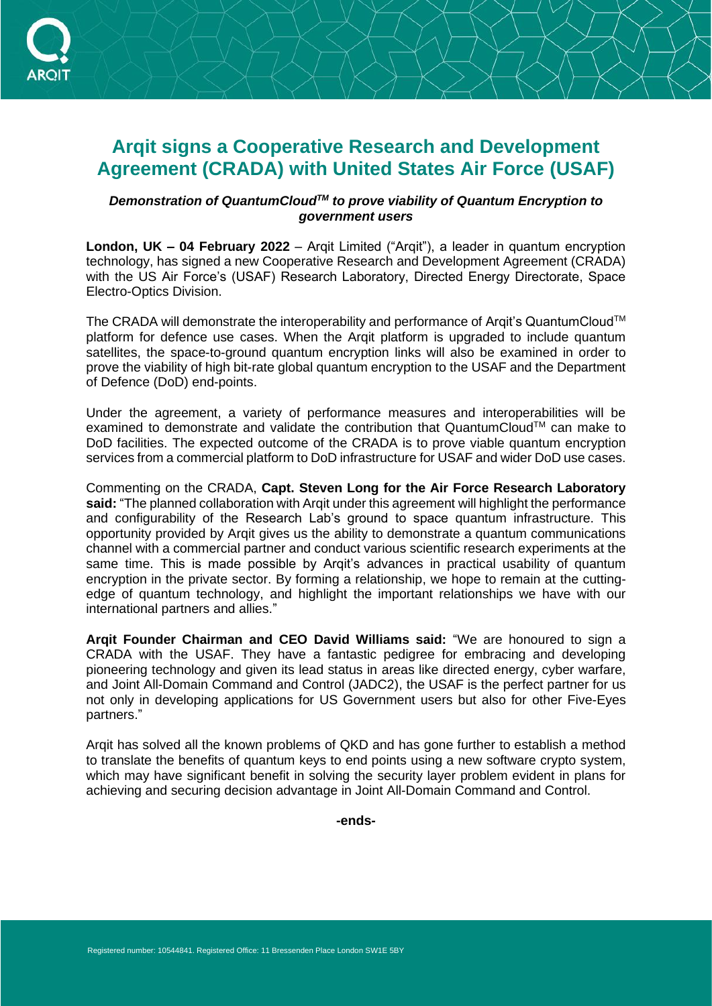

# **Arqit signs a Cooperative Research and Development Agreement (CRADA) with United States Air Force (USAF)**

#### *Demonstration of QuantumCloudTM to prove viability of Quantum Encryption to government users*

**London, UK – 04 February 2022** – Arqit Limited ("Arqit"), a leader in quantum encryption technology, has signed a new Cooperative Research and Development Agreement (CRADA) with the US Air Force's (USAF) Research Laboratory, Directed Energy Directorate, Space Electro-Optics Division.

The CRADA will demonstrate the interoperability and performance of Arqit's QuantumCloud™ platform for defence use cases. When the Arqit platform is upgraded to include quantum satellites, the space-to-ground quantum encryption links will also be examined in order to prove the viability of high bit-rate global quantum encryption to the USAF and the Department of Defence (DoD) end-points.

Under the agreement, a variety of performance measures and interoperabilities will be examined to demonstrate and validate the contribution that QuantumCloud™ can make to DoD facilities. The expected outcome of the CRADA is to prove viable quantum encryption services from a commercial platform to DoD infrastructure for USAF and wider DoD use cases.

Commenting on the CRADA, **Capt. Steven Long for the Air Force Research Laboratory said:** "The planned collaboration with Arqit under this agreement will highlight the performance and configurability of the Research Lab's ground to space quantum infrastructure. This opportunity provided by Arqit gives us the ability to demonstrate a quantum communications channel with a commercial partner and conduct various scientific research experiments at the same time. This is made possible by Arqit's advances in practical usability of quantum encryption in the private sector. By forming a relationship, we hope to remain at the cuttingedge of quantum technology, and highlight the important relationships we have with our international partners and allies."

**Arqit Founder Chairman and CEO David Williams said:** "We are honoured to sign a CRADA with the USAF. They have a fantastic pedigree for embracing and developing pioneering technology and given its lead status in areas like directed energy, cyber warfare, and Joint All-Domain Command and Control (JADC2), the USAF is the perfect partner for us not only in developing applications for US Government users but also for other Five-Eyes partners."

Arqit has solved all the known problems of QKD and has gone further to establish a method to translate the benefits of quantum keys to end points using a new software crypto system, which may have significant benefit in solving the security layer problem evident in plans for achieving and securing decision advantage in Joint All-Domain Command and Control.

**-ends-**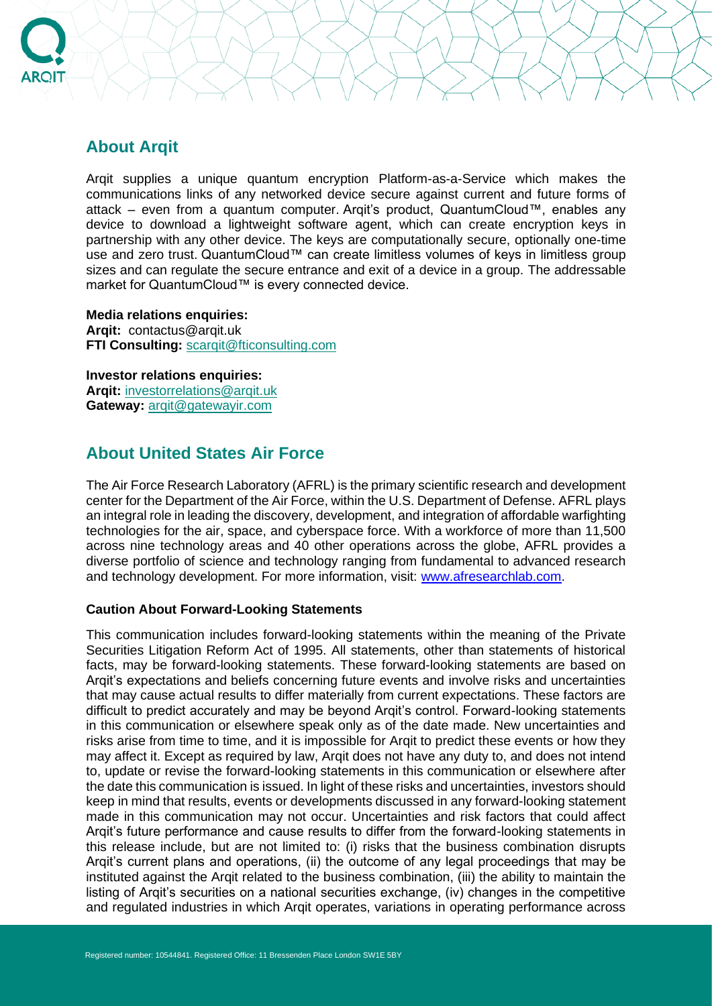

### **About Arqit**

Arqit supplies a unique quantum encryption Platform-as-a-Service which makes the communications links of any networked device secure against current and future forms of attack – even from a quantum computer. Arqit's product, QuantumCloud™, enables any device to download a lightweight software agent, which can create encryption keys in partnership with any other device. The keys are computationally secure, optionally one-time use and zero trust. QuantumCloud™ can create limitless volumes of keys in limitless group sizes and can regulate the secure entrance and exit of a device in a group. The addressable market for QuantumCloud™ is every connected device.

**Media relations enquiries: Arqit:** contactus@arqit.uk **FTI Consulting:** [scarqit@fticonsulting.com](mailto:scarqit@fticonsulting.com)

**Investor relations enquiries: Arqit:** [investorrelations@arqit.uk](mailto:Tracy.meher@arqitinc.us) **Gateway:** [arqit@gatewayir.com](mailto:arqit@gatewayir.com)

## **About United States Air Force**

The Air Force Research Laboratory (AFRL) is the primary scientific research and development center for the Department of the Air Force, within the U.S. Department of Defense. AFRL plays an integral role in leading the discovery, development, and integration of affordable warfighting technologies for the air, space, and cyberspace force. With a workforce of more than 11,500 across nine technology areas and 40 other operations across the globe, AFRL provides a diverse portfolio of science and technology ranging from fundamental to advanced research and technology development. For more information, visit: [www.afresearchlab.com.](http://www.afresearchlab.com/)

### **Caution About Forward-Looking Statements**

This communication includes forward-looking statements within the meaning of the Private Securities Litigation Reform Act of 1995. All statements, other than statements of historical facts, may be forward-looking statements. These forward-looking statements are based on Arqit's expectations and beliefs concerning future events and involve risks and uncertainties that may cause actual results to differ materially from current expectations. These factors are difficult to predict accurately and may be beyond Arqit's control. Forward-looking statements in this communication or elsewhere speak only as of the date made. New uncertainties and risks arise from time to time, and it is impossible for Arqit to predict these events or how they may affect it. Except as required by law, Arqit does not have any duty to, and does not intend to, update or revise the forward-looking statements in this communication or elsewhere after the date this communication is issued. In light of these risks and uncertainties, investors should keep in mind that results, events or developments discussed in any forward-looking statement made in this communication may not occur. Uncertainties and risk factors that could affect Arqit's future performance and cause results to differ from the forward-looking statements in this release include, but are not limited to: (i) risks that the business combination disrupts Arqit's current plans and operations, (ii) the outcome of any legal proceedings that may be instituted against the Arqit related to the business combination, (iii) the ability to maintain the listing of Arqit's securities on a national securities exchange, (iv) changes in the competitive and regulated industries in which Arqit operates, variations in operating performance across